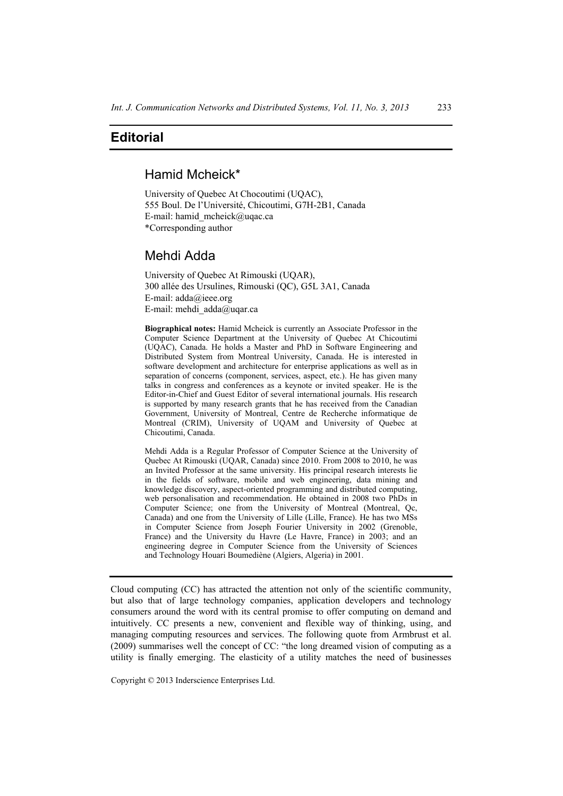# **Editorial**

### Hamid Mcheick\*

University of Quebec At Chocoutimi (UQAC), 555 Boul. De l'Université, Chicoutimi, G7H-2B1, Canada E-mail: hamid\_mcheick@uqac.ca \*Corresponding author

## Mehdi Adda

University of Quebec At Rimouski (UQAR), 300 allée des Ursulines, Rimouski (QC), G5L 3A1, Canada E-mail: adda@ieee.org E-mail: mehdi adda@uqar.ca

**Biographical notes:** Hamid Mcheick is currently an Associate Professor in the Computer Science Department at the University of Quebec At Chicoutimi (UQAC), Canada. He holds a Master and PhD in Software Engineering and Distributed System from Montreal University, Canada. He is interested in software development and architecture for enterprise applications as well as in separation of concerns (component, services, aspect, etc.). He has given many talks in congress and conferences as a keynote or invited speaker. He is the Editor-in-Chief and Guest Editor of several international journals. His research is supported by many research grants that he has received from the Canadian Government, University of Montreal, Centre de Recherche informatique de Montreal (CRIM), University of UQAM and University of Quebec at Chicoutimi, Canada.

Mehdi Adda is a Regular Professor of Computer Science at the University of Quebec At Rimouski (UQAR, Canada) since 2010. From 2008 to 2010, he was an Invited Professor at the same university. His principal research interests lie in the fields of software, mobile and web engineering, data mining and knowledge discovery, aspect-oriented programming and distributed computing, web personalisation and recommendation. He obtained in 2008 two PhDs in Computer Science; one from the University of Montreal (Montreal, Qc, Canada) and one from the University of Lille (Lille, France). He has two MSs in Computer Science from Joseph Fourier University in 2002 (Grenoble, France) and the University du Havre (Le Havre, France) in 2003; and an engineering degree in Computer Science from the University of Sciences and Technology Houari Boumediène (Algiers, Algeria) in 2001.

Cloud computing (CC) has attracted the attention not only of the scientific community, but also that of large technology companies, application developers and technology consumers around the word with its central promise to offer computing on demand and intuitively. CC presents a new, convenient and flexible way of thinking, using, and managing computing resources and services. The following quote from Armbrust et al. (2009) summarises well the concept of CC: "the long dreamed vision of computing as a utility is finally emerging. The elasticity of a utility matches the need of businesses

Copyright © 2013 Inderscience Enterprises Ltd.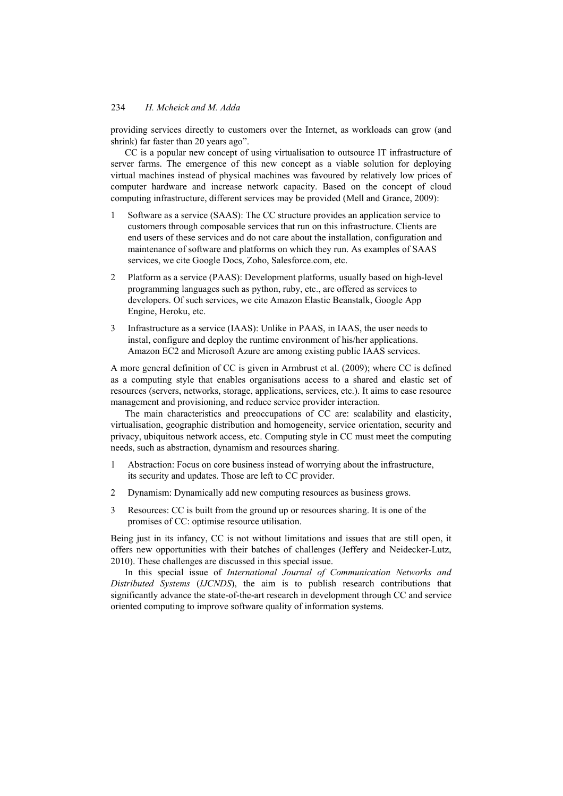#### 234 *H. Mcheick and M. Adda*

providing services directly to customers over the Internet, as workloads can grow (and shrink) far faster than 20 years ago".

CC is a popular new concept of using virtualisation to outsource IT infrastructure of server farms. The emergence of this new concept as a viable solution for deploying virtual machines instead of physical machines was favoured by relatively low prices of computer hardware and increase network capacity. Based on the concept of cloud computing infrastructure, different services may be provided (Mell and Grance, 2009):

- 1 Software as a service (SAAS): The CC structure provides an application service to customers through composable services that run on this infrastructure. Clients are end users of these services and do not care about the installation, configuration and maintenance of software and platforms on which they run. As examples of SAAS services, we cite Google Docs, Zoho, Salesforce.com, etc.
- 2 Platform as a service (PAAS): Development platforms, usually based on high-level programming languages such as python, ruby, etc., are offered as services to developers. Of such services, we cite Amazon Elastic Beanstalk, Google App Engine, Heroku, etc.
- 3 Infrastructure as a service (IAAS): Unlike in PAAS, in IAAS, the user needs to instal, configure and deploy the runtime environment of his/her applications. Amazon EC2 and Microsoft Azure are among existing public IAAS services.

A more general definition of CC is given in Armbrust et al. (2009); where CC is defined as a computing style that enables organisations access to a shared and elastic set of resources (servers, networks, storage, applications, services, etc.). It aims to ease resource management and provisioning, and reduce service provider interaction.

The main characteristics and preoccupations of CC are: scalability and elasticity, virtualisation, geographic distribution and homogeneity, service orientation, security and privacy, ubiquitous network access, etc. Computing style in CC must meet the computing needs, such as abstraction, dynamism and resources sharing.

- 1 Abstraction: Focus on core business instead of worrying about the infrastructure, its security and updates. Those are left to CC provider.
- 2 Dynamism: Dynamically add new computing resources as business grows.
- 3 Resources: CC is built from the ground up or resources sharing. It is one of the promises of CC: optimise resource utilisation.

Being just in its infancy, CC is not without limitations and issues that are still open, it offers new opportunities with their batches of challenges (Jeffery and Neidecker-Lutz, 2010). These challenges are discussed in this special issue.

In this special issue of *International Journal of Communication Networks and Distributed Systems* (*IJCNDS*), the aim is to publish research contributions that significantly advance the state-of-the-art research in development through CC and service oriented computing to improve software quality of information systems.